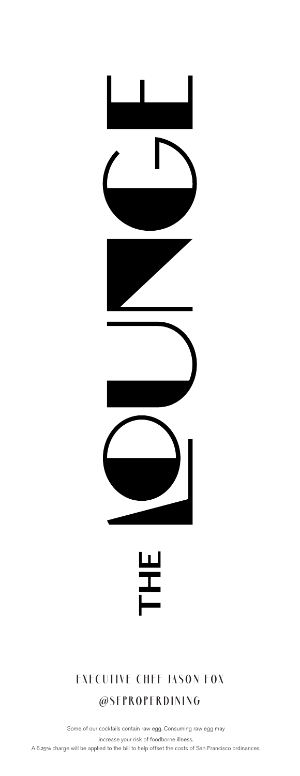



#### **EXECUTIVE CHEF JASON FOX**

#### **@SFPROPERDINING**

Some of our cocktails contain raw egg. Consuming raw egg may

increase your risk of foodborne illness.

A 6.25% charge will be applied to the bill to help offset the costs of San Francisco ordinances.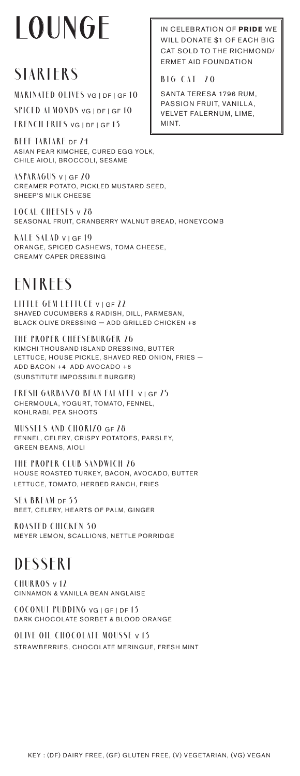# **LOUNGE**

#### **STARTERS**

**MARINATED OLIVES** VG | DF | GF **10**

**SPICED ALMONDS** VG | DF | GF **10 FRENCH FRIES** VG | DF | GF **13**

**BEEF TARTARE** DF **24** ASIAN PEAR KIMCHEE, CURED EGG YOLK, CHILE AIOLI, BROCCOLI, SESAME

**ASPARAGUS** V | GF **20** CREAMER POTATO, PICKLED MUSTARD SEED, SHEEP'S MILK CHEESE

**LOCAL CHEESES** V **28** SEASONAL FRUIT, CRANBERRY WALNUT BREAD, HONEYCOMB

**KALE SALAD** V | GF **19** ORANGE, SPICED CASHEWS, TOMA CHEESE, CREAMY CAPER DRESSING

### **ENTREES**

**LITTLE GEM LETTUCE** V | GF **22** SHAVED CUCUMBERS & RADISH, DILL, PARMESAN, BLACK OLIVE DRESSING — ADD GRILLED CHICKEN +8

**THE PROPER CHEESEBURGER 26** KIMCHI THOUSAND ISLAND DRESSING, BUTTER LETTUCE, HOUSE PICKLE, SHAVED RED ONION, FRIES — ADD BACON +4 ADD AVOCADO +6 (SUBSTITUTE IMPOSSIBLE BURGER)

**FRESH GARBANZO BEAN FALAFEL** V | GF **25** CHERMOULA, YOGURT, TOMATO, FENNEL, KOHLRABI, PEA SHOOTS

**MUSSELS AND CHORIZO** GF **28** FENNEL, CELERY, CRISPY POTATOES, PARSLEY, GREEN BEANS, AIOLI

**THE PROPER CLUB SANDWICH 26** HOUSE ROASTED TURKEY, BACON, AVOCADO, BUTTER LETTUCE, TOMATO, HERBED RANCH, FRIES

**SEA BREAM** DF **33** BEET, CELERY, HEARTS OF PALM, GINGER

**ROASTED CHICKEN 30** MEYER LEMON, SCALLIONS, NETTLE PORRIDGE

#### **DESSERT**

**CHURROS** V **12** CINNAMON & VANILLA BEAN ANGLAISE

**COCONUT PUDDING** VG | GF | DF **13** DARK CHOCOLATE SORBET & BLOOD ORANGE

**OLIVE OIL CHOCOLATE MOUSSE** V **13** STRAWBERRIES, CHOCOLATE MERINGUE, FRESH MINT

IN CELEBRATION OF **PRIDE** WE WILL DONATE \$1 OF FACH BIG CAT SOLD TO THE RICHMOND/ ERMET AID FOUNDATION

**BIG CAT 20**

SANTA TERESA 1796 RUM, PASSION FRUIT, VANILLA, VELVET FALERNUM, LIME, MINT.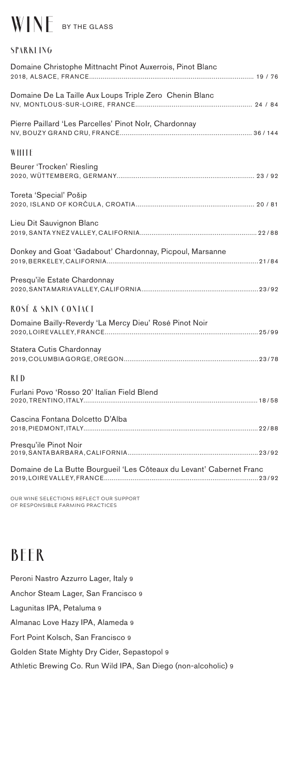## **WINE** BY THE GLASS

| SPARKLING                                                            |
|----------------------------------------------------------------------|
| Domaine Christophe Mittnacht Pinot Auxerrois, Pinot Blanc            |
| Domaine De La Taille Aux Loups Triple Zero Chenin Blanc              |
| Pierre Paillard 'Les Parcelles' Pinot Nolr, Chardonnay               |
| WHITE                                                                |
| Beurer 'Trocken' Riesling                                            |
| Toreta 'Special' Pošip                                               |
| Lieu Dit Sauvignon Blanc                                             |
| Donkey and Goat 'Gadabout' Chardonnay, Picpoul, Marsanne             |
| Presqu'ile Estate Chardonnay                                         |
| ROSÉ & SKIN CONTACT                                                  |
| Domaine Bailly-Reverdy 'La Mercy Dieu' Rosé Pinot Noir               |
| Statera Cutis Chardonnay                                             |
| RED                                                                  |
| Furlani Povo 'Rosso 20' Italian Field Blend                          |
| Cascina Fontana Dolcetto D'Alba                                      |
| Presqu'ile Pinot Noir                                                |
| Domaine de La Butte Bourgueil 'Les Côteaux du Levant' Cabernet Franc |
|                                                                      |

OUR WINE SELECTIONS REFLECT OUR SUPPORT OF RESPONSIBLE FARMING PRACTICES

## **BEER**

Peroni Nastro Azzurro Lager, Italy 9 Anchor Steam Lager, San Francisco 9 Lagunitas IPA, Petaluma 9 Almanac Love Hazy IPA, Alameda 9 Fort Point Kolsch, San Francisco 9 Golden State Mighty Dry Cider, Sepastopol 9 Athletic Brewing Co. Run Wild IPA, San Diego (non-alcoholic) 9